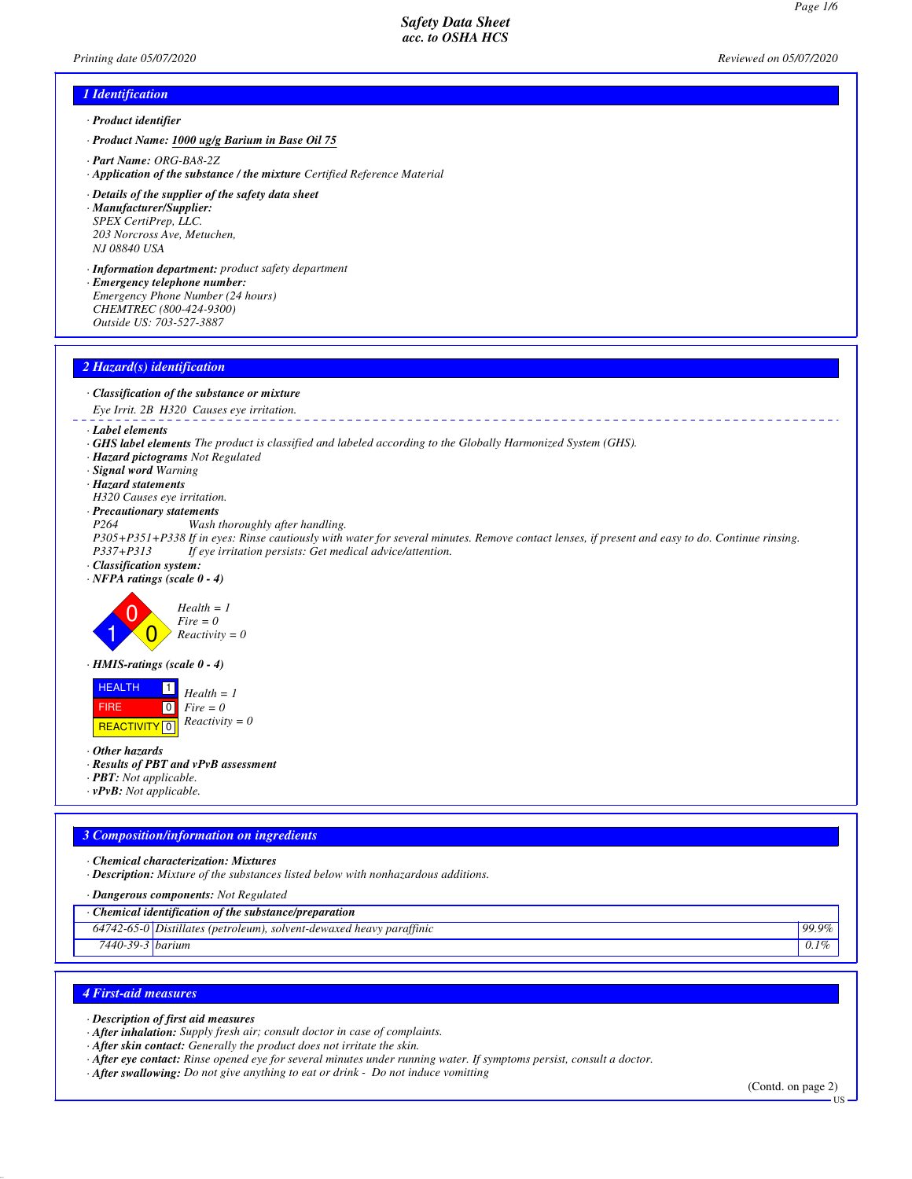*Page 1/6*

# *1 Identification · Product identifier*

- *· Product Name: 1000 ug/g Barium in Base Oil 75*
- *· Part Name: ORG-BA8-2Z*
- *· Application of the substance / the mixture Certified Reference Material*
- *· Details of the supplier of the safety data sheet · Manufacturer/Supplier: SPEX CertiPrep, LLC. 203 Norcross Ave, Metuchen, NJ 08840 USA*
- *· Information department: product safety department · Emergency telephone number: Emergency Phone Number (24 hours) CHEMTREC (800-424-9300)*
- *Outside US: 703-527-3887*

# *2 Hazard(s) identification*

- *· Classification of the substance or mixture*
- *Eye Irrit. 2B H320 Causes eye irritation.*

### *· Label elements*

- *· GHS label elements The product is classified and labeled according to the Globally Harmonized System (GHS).*
- *· Hazard pictograms Not Regulated*
- *· Signal word Warning*
- *· Hazard statements*
- *H320 Causes eye irritation.*
- *· Precautionary statements*
- *P264 Wash thoroughly after handling.*
- *P305+P351+P338 If in eyes: Rinse cautiously with water for several minutes. Remove contact lenses, if present and easy to do. Continue rinsing. P337+P313 If eye irritation persists: Get medical advice/attention.*
- *· Classification system:*
- *· NFPA ratings (scale 0 4)*



*· HMIS-ratings (scale 0 - 4)*

 HEALTH FIRE **REACTIVITY** 0 1  $\boxed{0}$ *Health = 1 Fire = 0 Reactivity = 0*

*· Other hazards*

- *· Results of PBT and vPvB assessment*
- *· PBT: Not applicable.*
- *· vPvB: Not applicable.*

### *3 Composition/information on ingredients*

- *· Chemical characterization: Mixtures*
- *· Description: Mixture of the substances listed below with nonhazardous additions.*
- *· Dangerous components: Not Regulated*
- *· Chemical identification of the substance/preparation*

| 742-03-U I<br>04.       | $\mathbf{r}$ .<br>$\cdots$<br>Distillates<br>* (petroleum),<br>solvent-dewaxed heavy parattınıc | 99.9% |
|-------------------------|-------------------------------------------------------------------------------------------------|-------|
| 20<br>$7440 - x$<br>39- | <i>barum</i><br>$\mathsf{U}$ . $\mathsf{I}$                                                     |       |

### *4 First-aid measures*

*· Description of first aid measures*

*· After inhalation: Supply fresh air; consult doctor in case of complaints.*

*· After skin contact: Generally the product does not irritate the skin.*

- *· After eye contact: Rinse opened eye for several minutes under running water. If symptoms persist, consult a doctor.*
- *· After swallowing: Do not give anything to eat or drink Do not induce vomitting*

(Contd. on page 2)

US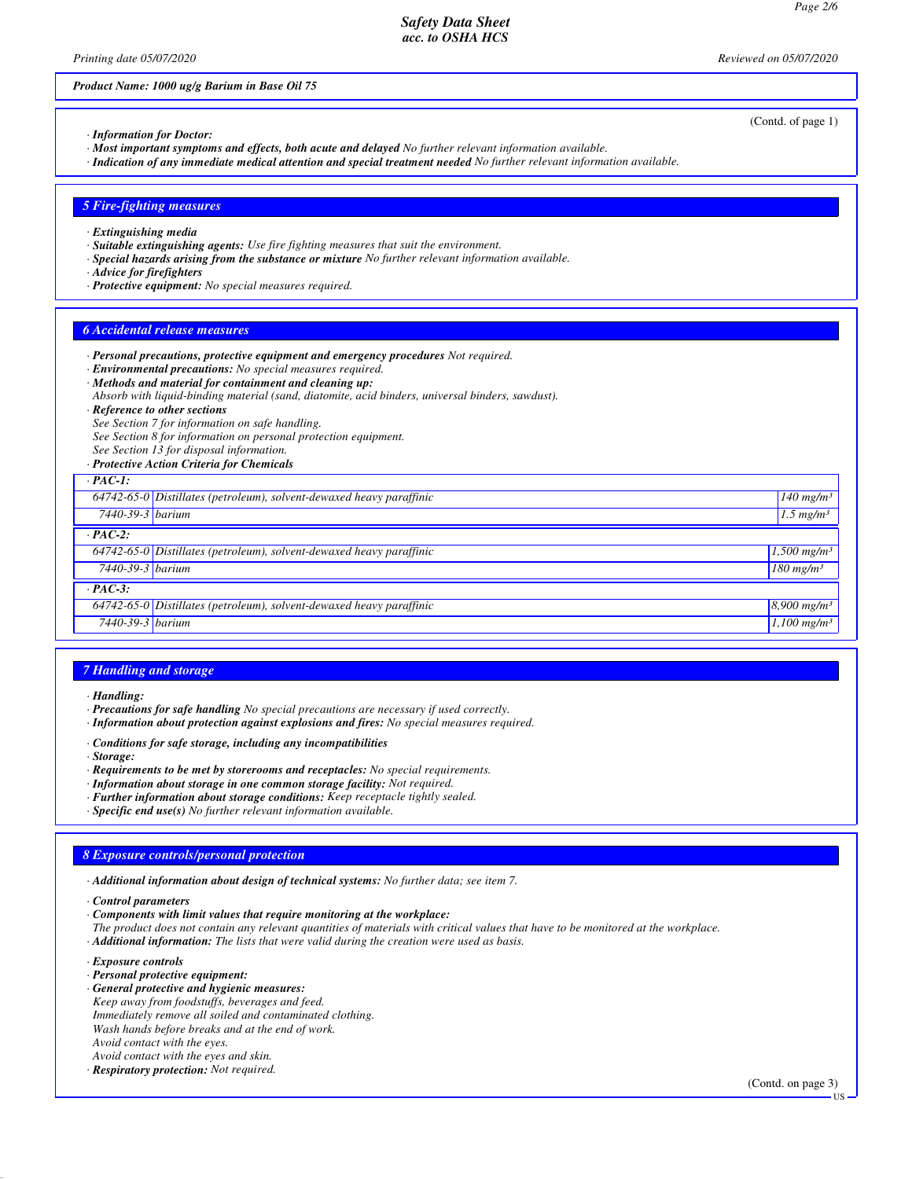*Printing date 05/07/2020 Reviewed on 05/07/2020*

*Product Name: 1000 ug/g Barium in Base Oil 75*

(Contd. of page 1)

- *· Information for Doctor:*
- *· Most important symptoms and effects, both acute and delayed No further relevant information available.*
- *· Indication of any immediate medical attention and special treatment needed No further relevant information available.*

### *5 Fire-fighting measures*

- *· Extinguishing media*
- *· Suitable extinguishing agents: Use fire fighting measures that suit the environment.*
- *· Special hazards arising from the substance or mixture No further relevant information available.*
- *· Advice for firefighters*
- *· Protective equipment: No special measures required.*

#### *6 Accidental release measures*

- *· Personal precautions, protective equipment and emergency procedures Not required.*
- *· Environmental precautions: No special measures required.*
- *· Methods and material for containment and cleaning up:*
- *Absorb with liquid-binding material (sand, diatomite, acid binders, universal binders, sawdust).*
- *· Reference to other sections*
- *See Section 7 for information on safe handling.*
- *See Section 8 for information on personal protection equipment.*
- *See Section 13 for disposal information.*
- *· Protective Action Criteria for Chemicals*

| $-$ PAC-1:       |                                                                        |                           |  |  |
|------------------|------------------------------------------------------------------------|---------------------------|--|--|
|                  | $64742-65-0$ Distillates (petroleum), solvent-dewaxed heavy paraffinic | $140$ mg/m <sup>3</sup>   |  |  |
| 7440-39-3 barium |                                                                        | $1.5$ mg/m <sup>3</sup>   |  |  |
| $PAC-2$ :        |                                                                        |                           |  |  |
|                  | 64742-65-0 Distillates (petroleum), solvent-dewaxed heavy paraffinic   | $1,500$ mg/m <sup>3</sup> |  |  |
| 7440-39-3 barium |                                                                        | $180$ mg/m <sup>3</sup>   |  |  |
| $PAC-3$ :        |                                                                        |                           |  |  |
|                  | 64742-65-0 Distillates (petroleum), solvent-dewaxed heavy paraffinic   | $8,900$ mg/m <sup>3</sup> |  |  |
| 7440-39-3 barium |                                                                        | $1,100$ mg/m <sup>3</sup> |  |  |

### *7 Handling and storage*

- *· Precautions for safe handling No special precautions are necessary if used correctly.*
- *· Information about protection against explosions and fires: No special measures required.*
- *· Conditions for safe storage, including any incompatibilities*
- *· Storage:*
- *· Requirements to be met by storerooms and receptacles: No special requirements.*
- *· Information about storage in one common storage facility: Not required.*
- *· Further information about storage conditions: Keep receptacle tightly sealed.*
- *· Specific end use(s) No further relevant information available.*

# *8 Exposure controls/personal protection*

*· Additional information about design of technical systems: No further data; see item 7.*

*· Control parameters*

- *· Components with limit values that require monitoring at the workplace:*
- *The product does not contain any relevant quantities of materials with critical values that have to be monitored at the workplace.*
- *· Additional information: The lists that were valid during the creation were used as basis.*
- *· Exposure controls*
- *· Personal protective equipment:*
- *· General protective and hygienic measures:*
- *Keep away from foodstuffs, beverages and feed. Immediately remove all soiled and contaminated clothing. Wash hands before breaks and at the end of work. Avoid contact with the eyes. Avoid contact with the eyes and skin.*
- *· Respiratory protection: Not required.*

(Contd. on page 3)

US

*<sup>·</sup> Handling:*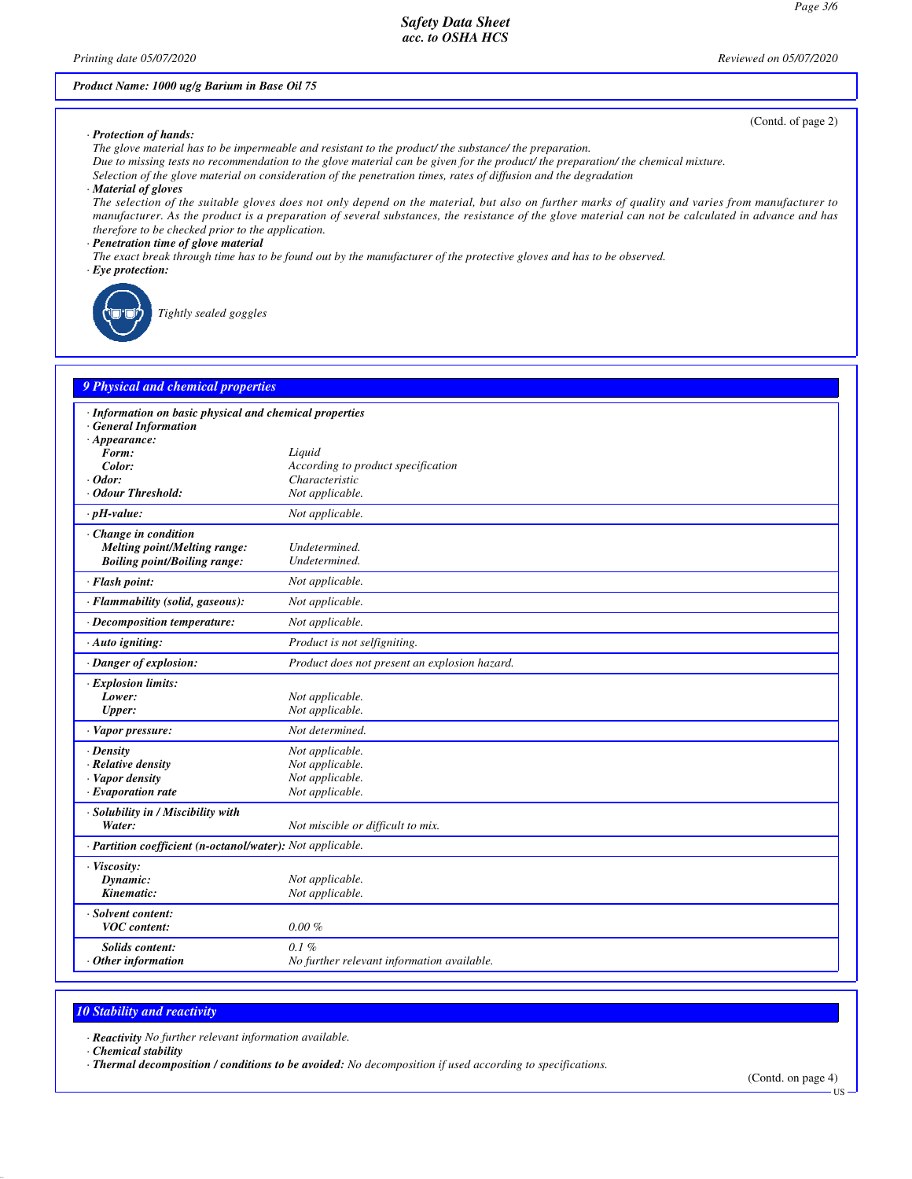*Printing date 05/07/2020 Reviewed on 05/07/2020*

# *Product Name: 1000 ug/g Barium in Base Oil 75*

(Contd. of page 2)

#### *· Protection of hands:*

*The glove material has to be impermeable and resistant to the product/ the substance/ the preparation.*

- *Due to missing tests no recommendation to the glove material can be given for the product/ the preparation/ the chemical mixture.*
- *Selection of the glove material on consideration of the penetration times, rates of diffusion and the degradation*
- *· Material of gloves*

*The selection of the suitable gloves does not only depend on the material, but also on further marks of quality and varies from manufacturer to manufacturer. As the product is a preparation of several substances, the resistance of the glove material can not be calculated in advance and has therefore to be checked prior to the application.*

*· Penetration time of glove material*

*The exact break through time has to be found out by the manufacturer of the protective gloves and has to be observed.*

*· Eye protection:*

*Tightly sealed goggles*

# **9** *Physical and chemical properti*

| <u><i>rufsicul unu chemicul propertie</i></u>                                                                                                                          |                                                                                   |  |  |  |
|------------------------------------------------------------------------------------------------------------------------------------------------------------------------|-----------------------------------------------------------------------------------|--|--|--|
| · Information on basic physical and chemical properties<br><b>General Information</b><br>$\cdot$ Appearance:<br>Form:<br>Color:<br>$\cdot$ Odor:<br>· Odour Threshold: | Liquid<br>According to product specification<br>Characteristic<br>Not applicable. |  |  |  |
| $\cdot$ pH-value:                                                                                                                                                      | Not applicable.                                                                   |  |  |  |
| Change in condition<br>Melting point/Melting range:<br><b>Boiling point/Boiling range:</b>                                                                             | Undetermined.<br>Undetermined.                                                    |  |  |  |
| · Flash point:                                                                                                                                                         | Not applicable.                                                                   |  |  |  |
| · Flammability (solid, gaseous):                                                                                                                                       | Not applicable.                                                                   |  |  |  |
| · Decomposition temperature:                                                                                                                                           | Not applicable.                                                                   |  |  |  |
| $\cdot$ Auto igniting:                                                                                                                                                 | Product is not selfigniting.                                                      |  |  |  |
| · Danger of explosion:                                                                                                                                                 | Product does not present an explosion hazard.                                     |  |  |  |
| $\cdot$ Explosion limits:<br>Lower:<br><b>Upper:</b>                                                                                                                   | Not applicable.<br>Not applicable.                                                |  |  |  |
| · Vapor pressure:                                                                                                                                                      | Not determined.                                                                   |  |  |  |
| $\cdot$ Density<br>· Relative density<br>· Vapor density<br>$\cdot$ Evaporation rate                                                                                   | Not applicable.<br>Not applicable.<br>Not applicable.<br>Not applicable.          |  |  |  |
| · Solubility in / Miscibility with<br>Water:                                                                                                                           | Not miscible or difficult to mix.                                                 |  |  |  |
| · Partition coefficient (n-octanol/water): Not applicable.                                                                                                             |                                                                                   |  |  |  |
| · Viscosity:<br>Dynamic:<br>Kinematic:                                                                                                                                 | Not applicable.<br>Not applicable.                                                |  |  |  |
| · Solvent content:<br><b>VOC</b> content:                                                                                                                              | $0.00 \%$                                                                         |  |  |  |
| <b>Solids content:</b><br>$\cdot$ Other information                                                                                                                    | 0.1%<br>No further relevant information available.                                |  |  |  |

### *10 Stability and reactivity*

*· Reactivity No further relevant information available.*

*· Chemical stability*

*· Thermal decomposition / conditions to be avoided: No decomposition if used according to specifications.*

US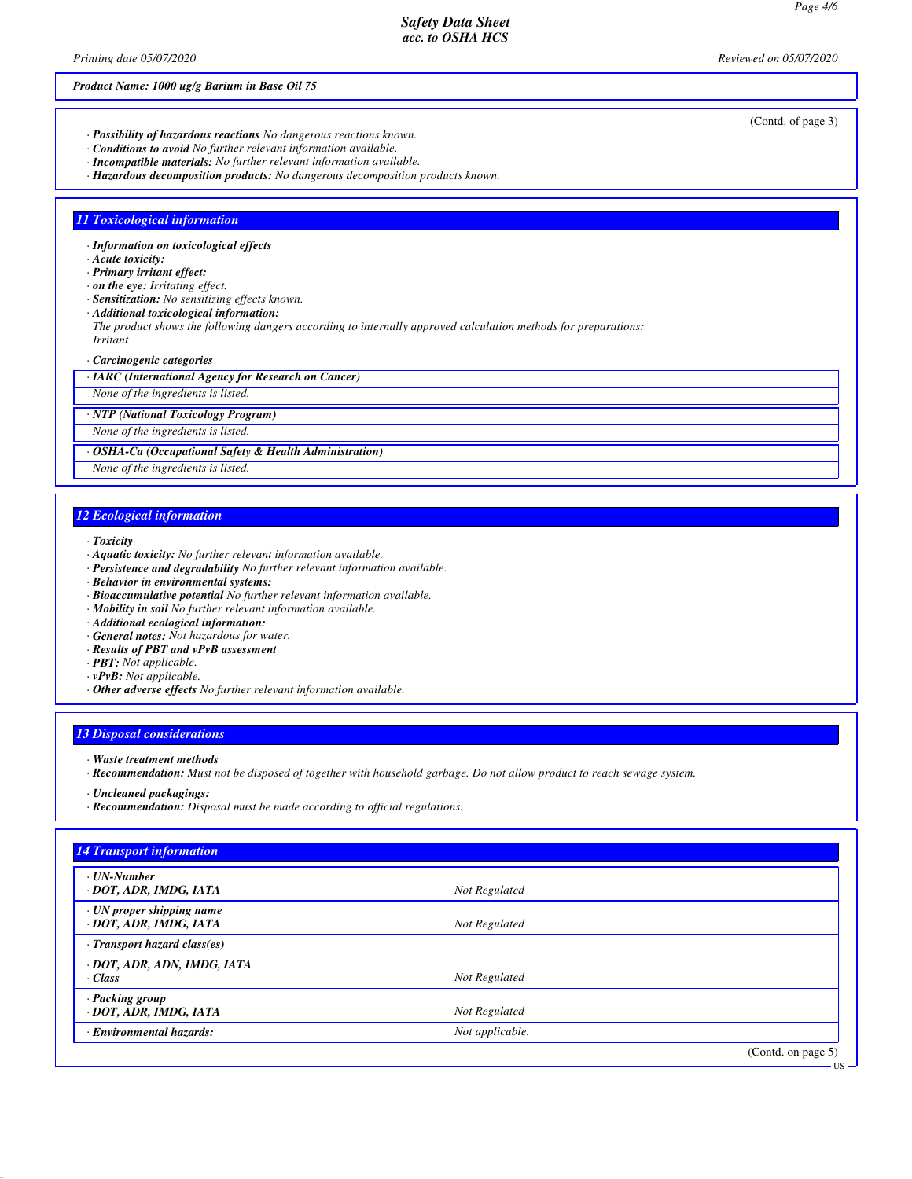### *Product Name: 1000 ug/g Barium in Base Oil 75*

- *· Possibility of hazardous reactions No dangerous reactions known.*
- *· Conditions to avoid No further relevant information available.*
- *· Incompatible materials: No further relevant information available.*
- *· Hazardous decomposition products: No dangerous decomposition products known.*

# *11 Toxicological information*

- *· Information on toxicological effects*
- *· Acute toxicity:*
- *· Primary irritant effect:*
- *· on the eye: Irritating effect.*
- *· Sensitization: No sensitizing effects known.*
- *· Additional toxicological information:*
- *The product shows the following dangers according to internally approved calculation methods for preparations: Irritant*
- *· Carcinogenic categories*
- *· IARC (International Agency for Research on Cancer)*

*None of the ingredients is listed.*

*· NTP (National Toxicology Program)*

*None of the ingredients is listed.*

*· OSHA-Ca (Occupational Safety & Health Administration)*

*None of the ingredients is listed.*

# *12 Ecological information*

- *· Toxicity*
- *· Aquatic toxicity: No further relevant information available.*
- *· Persistence and degradability No further relevant information available.*
- *· Behavior in environmental systems:*
- *· Bioaccumulative potential No further relevant information available.*
- *· Mobility in soil No further relevant information available.*
- *· Additional ecological information:*
- *· General notes: Not hazardous for water.*
- *· Results of PBT and vPvB assessment*
- *· PBT: Not applicable.*
- *· vPvB: Not applicable.*
- *· Other adverse effects No further relevant information available.*

### *13 Disposal considerations*

- *· Waste treatment methods*
- *· Recommendation: Must not be disposed of together with household garbage. Do not allow product to reach sewage system.*
- *· Uncleaned packagings:*
- *· Recommendation: Disposal must be made according to official regulations.*

(Contd. of page 3)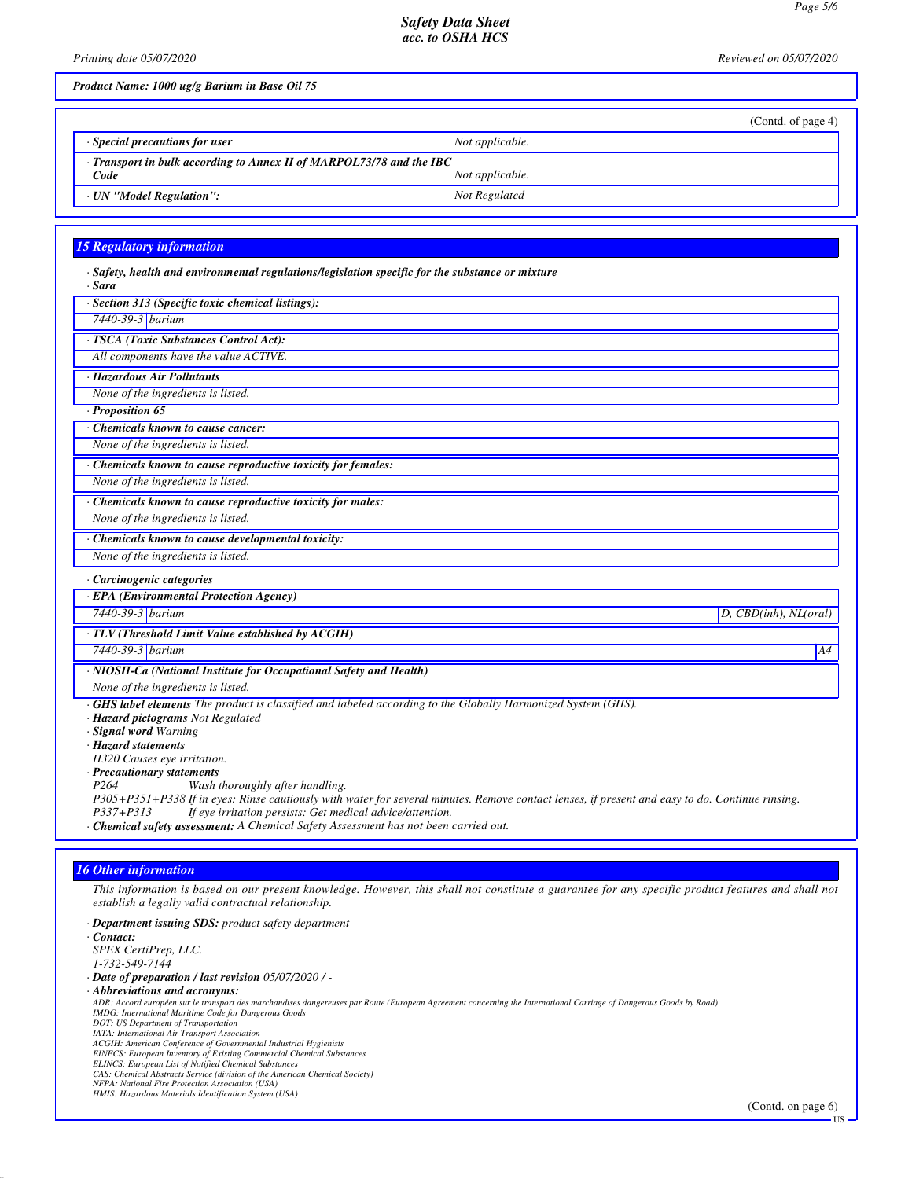*Printing date 05/07/2020 Reviewed on 05/07/2020*

*Product Name: 1000 ug/g Barium in Base Oil 75*

|                                                                            | (Contd. of page 4) |  |  |  |  |
|----------------------------------------------------------------------------|--------------------|--|--|--|--|
| $\cdot$ Special precautions for user                                       | Not applicable.    |  |  |  |  |
| $\cdot$ Transport in bulk according to Annex II of MARPOL73/78 and the IBC |                    |  |  |  |  |
| Code                                                                       | Not applicable.    |  |  |  |  |
| · UN "Model Regulation":                                                   | Not Regulated      |  |  |  |  |

### *15 Regulatory information*

| $\cdot$ Safety, health and environmental regulations/legislation specific for the substance or mixture<br>· Sara                                |                         |
|-------------------------------------------------------------------------------------------------------------------------------------------------|-------------------------|
| · Section 313 (Specific toxic chemical listings):                                                                                               |                         |
| 7440-39-3 barium                                                                                                                                |                         |
| · TSCA (Toxic Substances Control Act):                                                                                                          |                         |
| All components have the value ACTIVE.                                                                                                           |                         |
| · Hazardous Air Pollutants                                                                                                                      |                         |
| None of the ingredients is listed.                                                                                                              |                         |
| $\cdot$ Proposition 65                                                                                                                          |                         |
| Chemicals known to cause cancer:                                                                                                                |                         |
| None of the ingredients is listed.                                                                                                              |                         |
| · Chemicals known to cause reproductive toxicity for females:                                                                                   |                         |
| None of the ingredients is listed.                                                                                                              |                         |
| · Chemicals known to cause reproductive toxicity for males:                                                                                     |                         |
| None of the ingredients is listed.                                                                                                              |                         |
| · Chemicals known to cause developmental toxicity:                                                                                              |                         |
| None of the ingredients is listed.                                                                                                              |                         |
| · Carcinogenic categories                                                                                                                       |                         |
| · EPA (Environmental Protection Agency)                                                                                                         |                         |
| 7440-39-3 barium                                                                                                                                | $D,$ CBD(inh), NL(oral) |
| · TLV (Threshold Limit Value established by ACGIH)                                                                                              |                         |
| 7440-39-3 barium                                                                                                                                | A4                      |
| · NIOSH-Ca (National Institute for Occupational Safety and Health)                                                                              |                         |
| None of the ingredients is listed.                                                                                                              |                         |
| $\cdot$ GHS label elements The product is classified and labeled according to the Globally Harmonized System (GHS).                             |                         |
| · Hazard pictograms Not Regulated                                                                                                               |                         |
| · Signal word Warning                                                                                                                           |                         |
| · Hazard statements                                                                                                                             |                         |
| H320 Causes eye irritation.                                                                                                                     |                         |
| · Precautionary statements                                                                                                                      |                         |
| P <sub>264</sub><br>Wash thoroughly after handling.                                                                                             |                         |
| P305+P351+P338 If in eyes: Rinse cautiously with water for several minutes. Remove contact lenses, if present and easy to do. Continue rinsing. |                         |
| If eye irritation persists: Get medical advice/attention.<br>P337+P313                                                                          |                         |

*· Chemical safety assessment: A Chemical Safety Assessment has not been carried out.*

# *16 Other information*

*This information is based on our present knowledge. However, this shall not constitute a guarantee for any specific product features and shall not establish a legally valid contractual relationship.*

*· Department issuing SDS: product safety department · Contact: SPEX CertiPrep, LLC. 1-732-549-7144 · Date of preparation / last revision 05/07/2020 / - · Abbreviations and acronyms: ADR: Accord européen sur le transport des marchandises dangereuses par Route (European Agreement concerning the International Carriage of Dangerous Goods by Road)* IMDG: International Maritime Code for Dangerous Goods<br>DOT: US Department of Transportation<br>IATA: International Air Transport Association<br>ACGIH: American Conference of Governmental Industrial Hygienists<br>EINECS: European Inv *ELINCS: European List of Notified Chemical Substances CAS: Chemical Abstracts Service (division of the American Chemical Society) NFPA: National Fire Protection Association (USA) HMIS: Hazardous Materials Identification System (USA)*